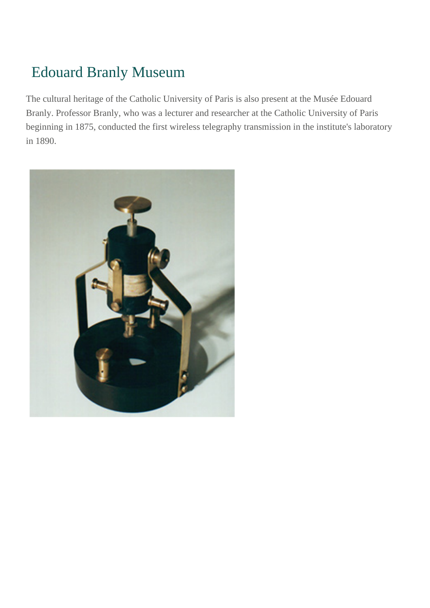## Edouard Branly Museum

The cultural heritage of the Catholic University of Paris is also present at the Musée Edouard Branly. Professor Branly, who was a lecturer and researcher at the Catholic University of Paris beginning in 1875, conducted the first wireless telegraphy transmission in the institute's laboratory in 1890.

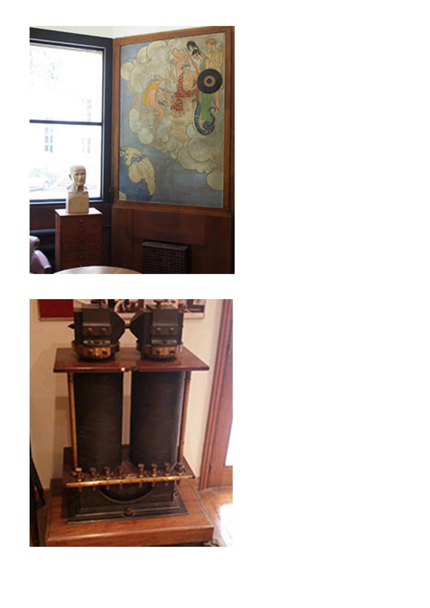